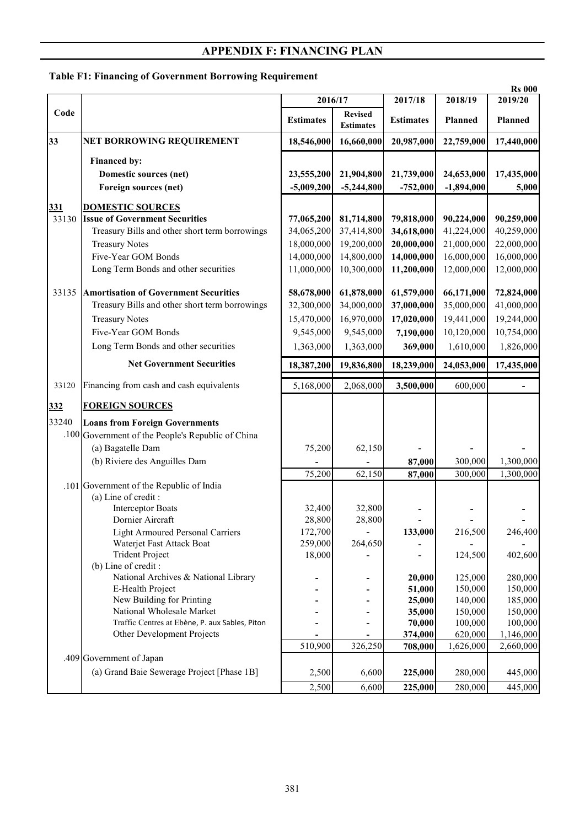## **APPENDIX F: FINANCING PLAN**

## **Table F1: Financing of Government Borrowing Requirement**

|       |                                                                                                                                                                                                                                                                                                                                                                                                                                                  | 2016/17                                                            |                                                                    | 2017/18                                                                         | 2018/19                                                                                           | <b>Rs 000</b><br>2019/20                                                                            |
|-------|--------------------------------------------------------------------------------------------------------------------------------------------------------------------------------------------------------------------------------------------------------------------------------------------------------------------------------------------------------------------------------------------------------------------------------------------------|--------------------------------------------------------------------|--------------------------------------------------------------------|---------------------------------------------------------------------------------|---------------------------------------------------------------------------------------------------|-----------------------------------------------------------------------------------------------------|
| Code  |                                                                                                                                                                                                                                                                                                                                                                                                                                                  | <b>Estimates</b>                                                   | <b>Revised</b><br><b>Estimates</b>                                 | <b>Estimates</b>                                                                | <b>Planned</b>                                                                                    | Planned                                                                                             |
| 33    | NET BORROWING REQUIREMENT                                                                                                                                                                                                                                                                                                                                                                                                                        | 18,546,000                                                         | 16,660,000                                                         | 20,987,000                                                                      | 22,759,000                                                                                        | 17,440,000                                                                                          |
|       | Financed by:<br>Domestic sources (net)<br>Foreign sources (net)                                                                                                                                                                                                                                                                                                                                                                                  | 23,555,200<br>$-5,009,200$                                         | 21,904,800<br>$-5,244,800$                                         | 21,739,000<br>$-752,000$                                                        | 24,653,000<br>$-1,894,000$                                                                        | 17,435,000<br>5,000                                                                                 |
| 331   | <b>DOMESTIC SOURCES</b>                                                                                                                                                                                                                                                                                                                                                                                                                          |                                                                    |                                                                    |                                                                                 |                                                                                                   |                                                                                                     |
| 33130 | <b>Issue of Government Securities</b><br>Treasury Bills and other short term borrowings<br><b>Treasury Notes</b><br>Five-Year GOM Bonds<br>Long Term Bonds and other securities                                                                                                                                                                                                                                                                  | 77,065,200<br>34,065,200<br>18,000,000<br>14,000,000<br>11,000,000 | 81,714,800<br>37,414,800<br>19,200,000<br>14,800,000<br>10,300,000 | 79,818,000<br>34,618,000<br>20,000,000<br>14,000,000<br>11,200,000              | 90,224,000<br>41,224,000<br>21,000,000<br>16,000,000<br>12,000,000                                | 90,259,000<br>40,259,000<br>22,000,000<br>16,000,000<br>12,000,000                                  |
| 33135 | <b>Amortisation of Government Securities</b><br>Treasury Bills and other short term borrowings<br><b>Treasury Notes</b><br>Five-Year GOM Bonds                                                                                                                                                                                                                                                                                                   | 58,678,000<br>32,300,000<br>15,470,000<br>9,545,000                | 61,878,000<br>34,000,000<br>16,970,000<br>9,545,000                | 61,579,000<br>37,000,000<br>17,020,000<br>7,190,000                             | 66,171,000<br>35,000,000<br>19,441,000<br>10,120,000                                              | 72,824,000<br>41,000,000<br>19,244,000<br>10,754,000                                                |
|       | Long Term Bonds and other securities                                                                                                                                                                                                                                                                                                                                                                                                             | 1,363,000                                                          | 1,363,000                                                          | 369,000                                                                         | 1,610,000                                                                                         | 1,826,000                                                                                           |
|       | <b>Net Government Securities</b>                                                                                                                                                                                                                                                                                                                                                                                                                 | 18,387,200                                                         | 19,836,800                                                         | 18,239,000                                                                      | 24,053,000                                                                                        | 17,435,000                                                                                          |
| 33120 | Financing from cash and cash equivalents                                                                                                                                                                                                                                                                                                                                                                                                         | 5,168,000                                                          | 2,068,000                                                          | 3,500,000                                                                       | 600,000                                                                                           |                                                                                                     |
| 332   | <b>FOREIGN SOURCES</b>                                                                                                                                                                                                                                                                                                                                                                                                                           |                                                                    |                                                                    |                                                                                 |                                                                                                   |                                                                                                     |
| 33240 | <b>Loans from Foreign Governments</b><br>.100 Government of the People's Republic of China<br>(a) Bagatelle Dam<br>(b) Riviere des Anguilles Dam                                                                                                                                                                                                                                                                                                 | 75,200<br>75,200                                                   | 62,150<br>62,150                                                   | 87,000<br>87,000                                                                | 300,000<br>300,000                                                                                | 1,300,000<br>1,300,000                                                                              |
|       | .101 Government of the Republic of India<br>(a) Line of credit :<br><b>Interceptor Boats</b><br>Dornier Aircraft<br><b>Light Armoured Personal Carriers</b><br>Waterjet Fast Attack Boat<br><b>Trident Project</b><br>(b) Line of credit :<br>National Archives & National Library<br>E-Health Project<br>New Building for Printing<br>National Wholesale Market<br>Traffic Centres at Ebène, P. aux Sables, Piton<br>Other Development Projects | 32,400<br>28,800<br>172,700<br>259,000<br>18,000<br>510,900        | 32,800<br>28,800<br>264,650<br>326,250                             | 133,000<br>20,000<br>51,000<br>25,000<br>35,000<br>70,000<br>374,000<br>708,000 | 216,500<br>124,500<br>125,000<br>150,000<br>140,000<br>150,000<br>100,000<br>620,000<br>1,626,000 | 246,400<br>402,600<br>280,000<br>150,000<br>185,000<br>150,000<br>100,000<br>1,146,000<br>2,660,000 |
|       | .409 Government of Japan<br>(a) Grand Baie Sewerage Project [Phase 1B]                                                                                                                                                                                                                                                                                                                                                                           | 2,500                                                              | 6,600                                                              | 225,000                                                                         | 280,000                                                                                           | 445,000                                                                                             |
|       |                                                                                                                                                                                                                                                                                                                                                                                                                                                  | 2,500                                                              | 6,600                                                              | 225,000                                                                         | 280,000                                                                                           | 445,000                                                                                             |